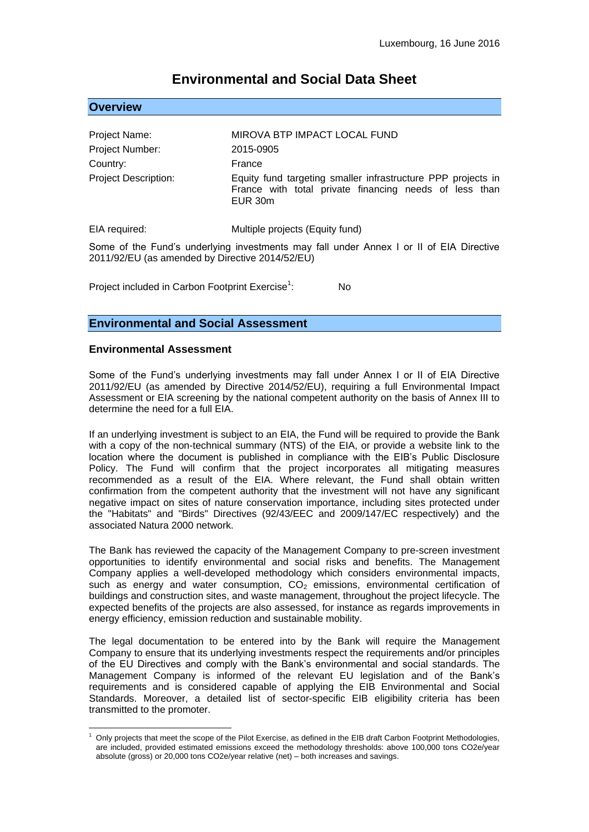# **Environmental and Social Data Sheet**

|  |  | <b>Overview</b> |  |
|--|--|-----------------|--|
|  |  |                 |  |

| Project Name:               | MIROVA BTP IMPACT LOCAL FUND                                                                                                      |
|-----------------------------|-----------------------------------------------------------------------------------------------------------------------------------|
| Project Number:             | 2015-0905                                                                                                                         |
| Country:                    | France                                                                                                                            |
| <b>Project Description:</b> | Equity fund targeting smaller infrastructure PPP projects in<br>France with total private financing needs of less than<br>EUR 30m |

EIA required: Multiple projects (Equity fund)

Some of the Fund's underlying investments may fall under Annex I or II of EIA Directive 2011/92/EU (as amended by Directive 2014/52/EU)

Project included in Carbon Footprint Exercise<sup>1</sup>: N<sub>o</sub>

## **Environmental and Social Assessment**

#### **Environmental Assessment**

Some of the Fund's underlying investments may fall under Annex I or II of EIA Directive 2011/92/EU (as amended by Directive 2014/52/EU), requiring a full Environmental Impact Assessment or EIA screening by the national competent authority on the basis of Annex III to determine the need for a full EIA.

If an underlying investment is subject to an EIA, the Fund will be required to provide the Bank with a copy of the non-technical summary (NTS) of the EIA, or provide a website link to the location where the document is published in compliance with the EIB's Public Disclosure Policy. The Fund will confirm that the project incorporates all mitigating measures recommended as a result of the EIA. Where relevant, the Fund shall obtain written confirmation from the competent authority that the investment will not have any significant negative impact on sites of nature conservation importance, including sites protected under the "Habitats" and "Birds" Directives (92/43/EEC and 2009/147/EC respectively) and the associated Natura 2000 network.

The Bank has reviewed the capacity of the Management Company to pre-screen investment opportunities to identify environmental and social risks and benefits. The Management Company applies a well-developed methodology which considers environmental impacts, such as energy and water consumption,  $CO<sub>2</sub>$  emissions, environmental certification of buildings and construction sites, and waste management, throughout the project lifecycle. The expected benefits of the projects are also assessed, for instance as regards improvements in energy efficiency, emission reduction and sustainable mobility.

The legal documentation to be entered into by the Bank will require the Management Company to ensure that its underlying investments respect the requirements and/or principles of the EU Directives and comply with the Bank's environmental and social standards. The Management Company is informed of the relevant EU legislation and of the Bank's requirements and is considered capable of applying the EIB Environmental and Social Standards. Moreover, a detailed list of sector-specific EIB eligibility criteria has been transmitted to the promoter.

<sup>1</sup> <sup>1</sup> Only projects that meet the scope of the Pilot Exercise, as defined in the EIB draft Carbon Footprint Methodologies, are included, provided estimated emissions exceed the methodology thresholds: above 100,000 tons CO2e/year absolute (gross) or 20,000 tons CO2e/year relative (net) – both increases and savings.